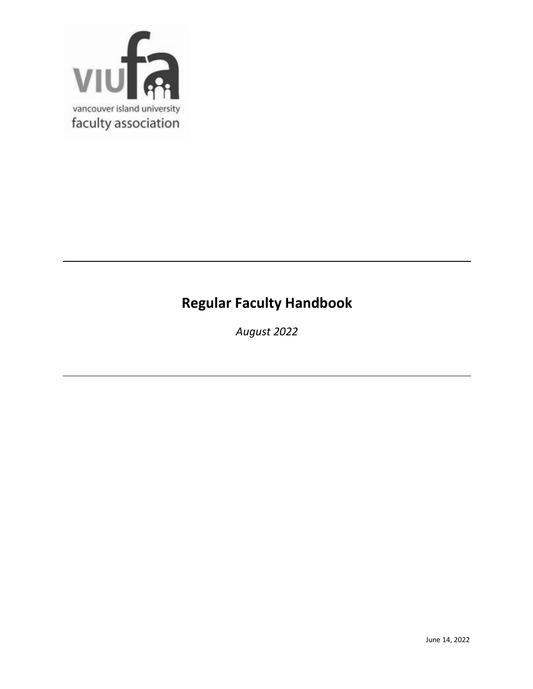

# **Regular Faculty Handbook**

*August 2022*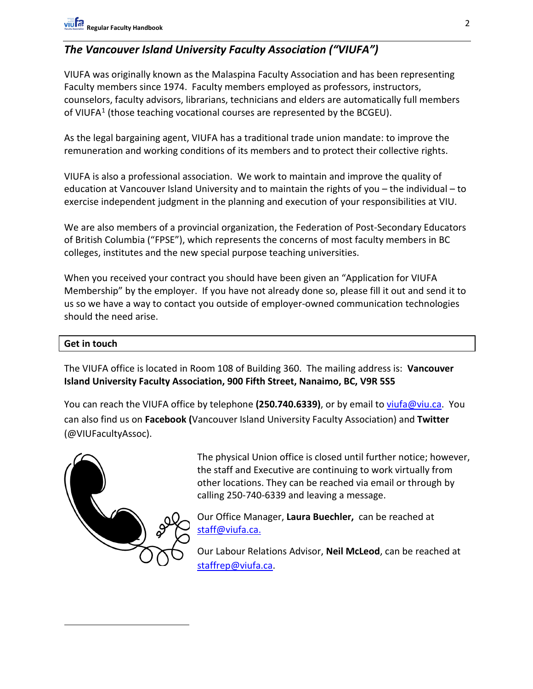# *The Vancouver Island University Faculty Association ("VIUFA")*

VIUFA was originally known as the Malaspina Faculty Association and has been representing Faculty members since 1974. Faculty members employed as professors, instructors, counselors, faculty advisors, librarians, technicians and elders are automatically full members of VIUFA<sup>[1](#page-1-0)</sup> (those teaching vocational courses are represented by the BCGEU).

As the legal bargaining agent, VIUFA has a traditional trade union mandate: to improve the remuneration and working conditions of its members and to protect their collective rights.

VIUFA is also a professional association. We work to maintain and improve the quality of education at Vancouver Island University and to maintain the rights of you – the individual – to exercise independent judgment in the planning and execution of your responsibilities at VIU.

We are also members of a provincial organization, the Federation of Post-Secondary Educators of British Columbia ("FPSE"), which represents the concerns of most faculty members in BC colleges, institutes and the new special purpose teaching universities.

When you received your contract you should have been given an "Application for VIUFA Membership" by the employer. If you have not already done so, please fill it out and send it to us so we have a way to contact you outside of employer-owned communication technologies should the need arise.

#### **Get in touch**

The VIUFA office is located in Room 108 of Building 360. The mailing address is: **Vancouver Island University Faculty Association, 900 Fifth Street, Nanaimo, BC, V9R 5S5**

You can reach the VIUFA office by telephone **(250.740.6339)**, or by email to [viufa@viu.ca.](mailto:viufa@viu.ca) You can also find us on **Facebook (**Vancouver Island University Faculty Association) and **Twitter** (@VIUFacultyAssoc).

<span id="page-1-0"></span>

The physical Union office is closed until further notice; however, the staff and Executive are continuing to work virtually from other locations. They can be reached via email or through by calling 250-740-6339 and leaving a message.

Our Office Manager, **Laura Buechler,** can be reached at [staff@viufa.ca.](mailto:staff@viufa.ca)

Our Labour Relations Advisor, **Neil McLeod**, can be reached at [staffrep@viufa.ca.](mailto:staffrep@viufa.ca)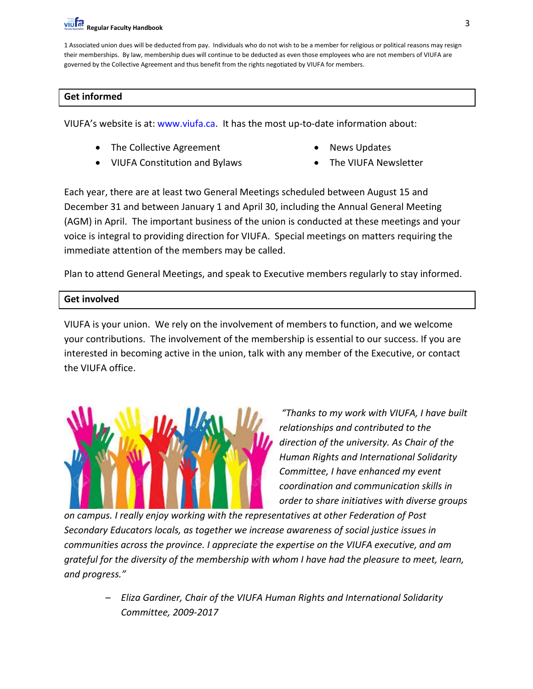1 Associated union dues will be deducted from pay. Individuals who do not wish to be a member for religious or political reasons may resign their memberships. By law, membership dues will continue to be deducted as even those employees who are not members of VIUFA are governed by the Collective Agreement and thus benefit from the rights negotiated by VIUFA for members.

#### **Get informed**

VIUFA's website is at: [www.viufa.ca.](http://www.viufa.ca/) It has the most up-to-date information about:

- The Collective Agreement
- VIUFA Constitution and Bylaws
- News Updates
- The VIUFA Newsletter

Each year, there are at least two General Meetings scheduled between August 15 and December 31 and between January 1 and April 30, including the Annual General Meeting (AGM) in April. The important business of the union is conducted at these meetings and your voice is integral to providing direction for VIUFA. Special meetings on matters requiring the immediate attention of the members may be called.

Plan to attend General Meetings, and speak to Executive members regularly to stay informed.

#### **Get involved**

VIUFA is your union. We rely on the involvement of members to function, and we welcome your contributions. The involvement of the membership is essential to our success. If you are interested in becoming active in the union, talk with any member of the Executive, or contact the VIUFA office.



*"Thanks to my work with VIUFA, I have built relationships and contributed to the direction of the university. As Chair of the Human Rights and International Solidarity Committee, I have enhanced my event coordination and communication skills in order to share initiatives with diverse groups* 

*on campus. I really enjoy working with the representatives at other Federation of Post Secondary Educators locals, as together we increase awareness of social justice issues in communities across the province. I appreciate the expertise on the VIUFA executive, and am grateful for the diversity of the membership with whom I have had the pleasure to meet, learn, and progress."*

> *– Eliza Gardiner, Chair of the VIUFA Human Rights and International Solidarity Committee, 2009-2017*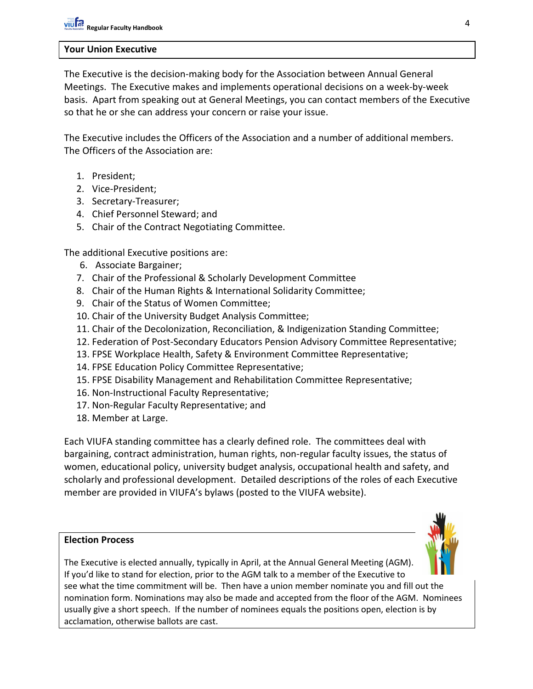#### **Your Union Executive**

The Executive is the decision-making body for the Association between Annual General Meetings. The Executive makes and implements operational decisions on a week-by-week basis. Apart from speaking out at General Meetings, you can contact members of the Executive so that he or she can address your concern or raise your issue.

The Executive includes the Officers of the Association and a number of additional members. The Officers of the Association are:

- 1. President;
- 2. Vice-President;
- 3. Secretary-Treasurer;
- 4. Chief Personnel Steward; and
- 5. Chair of the Contract Negotiating Committee.

The additional Executive positions are:

- 6. Associate Bargainer;
- 7. Chair of the Professional & Scholarly Development Committee
- 8. Chair of the Human Rights & International Solidarity Committee;
- 9. Chair of the Status of Women Committee;
- 10. Chair of the University Budget Analysis Committee;
- 11. Chair of the Decolonization, Reconciliation, & Indigenization Standing Committee;
- 12. Federation of Post-Secondary Educators Pension Advisory Committee Representative;
- 13. FPSE Workplace Health, Safety & Environment Committee Representative;
- 14. FPSE Education Policy Committee Representative;
- 15. FPSE Disability Management and Rehabilitation Committee Representative;
- 16. Non-Instructional Faculty Representative;
- 17. Non-Regular Faculty Representative; and
- 18. Member at Large.

Each VIUFA standing committee has a clearly defined role. The committees deal with bargaining, contract administration, human rights, non-regular faculty issues, the status of women, educational policy, university budget analysis, occupational health and safety, and scholarly and professional development. Detailed descriptions of the roles of each Executive member are provided in VIUFA's bylaws (posted to the VIUFA website).

#### **Election Process**

The Executive is elected annually, typically in April, at the Annual General Meeting (AGM). If you'd like to stand for election, prior to the AGM talk to a member of the Executive to see what the time commitment will be. Then have a union member nominate you and fill out the nomination form. Nominations may also be made and accepted from the floor of the AGM. Nominees usually give a short speech. If the number of nominees equals the positions open, election is by acclamation, otherwise ballots are cast.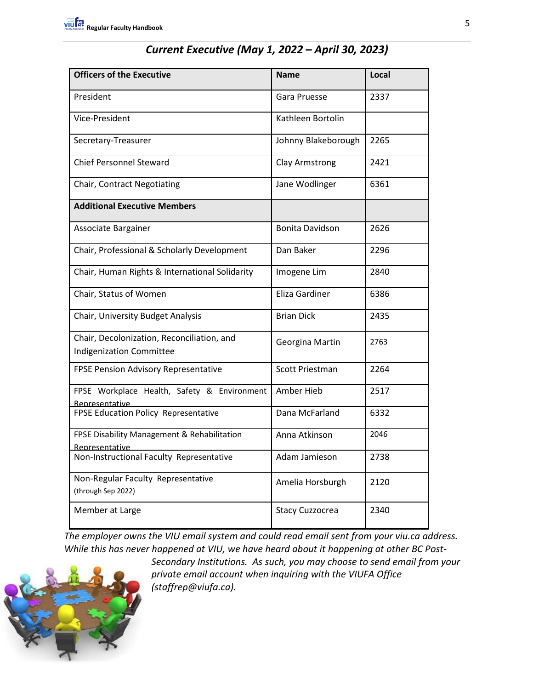| <b>Officers of the Executive</b>                                              | <b>Name</b>            | Local |
|-------------------------------------------------------------------------------|------------------------|-------|
| President                                                                     | Gara Pruesse           | 2337  |
| Vice-President                                                                | Kathleen Bortolin      |       |
| Secretary-Treasurer                                                           | Johnny Blakeborough    | 2265  |
| <b>Chief Personnel Steward</b>                                                | Clay Armstrong         | 2421  |
| Chair, Contract Negotiating                                                   | Jane Wodlinger         | 6361  |
| <b>Additional Executive Members</b>                                           |                        |       |
| Associate Bargainer                                                           | <b>Bonita Davidson</b> | 2626  |
| Chair, Professional & Scholarly Development                                   | Dan Baker              | 2296  |
| Chair, Human Rights & International Solidarity                                | Imogene Lim            | 2840  |
| Chair, Status of Women                                                        | Eliza Gardiner         | 6386  |
| Chair, University Budget Analysis                                             | <b>Brian Dick</b>      | 2435  |
| Chair, Decolonization, Reconciliation, and<br><b>Indigenization Committee</b> | Georgina Martin        | 2763  |
| FPSE Pension Advisory Representative                                          | <b>Scott Priestman</b> | 2264  |
| FPSE Workplace Health, Safety & Environment<br>Representative                 | Amber Hieb             | 2517  |
| FPSE Education Policy Representative                                          | Dana McFarland         | 6332  |
| FPSE Disability Management & Rehabilitation<br>Representative                 | Anna Atkinson          | 2046  |
| Non-Instructional Faculty Representative                                      | Adam Jamieson          | 2738  |
| Non-Regular Faculty Representative<br>(through Sep 2022)                      | Amelia Horsburgh       | 2120  |
| Member at Large                                                               | Stacy Cuzzocrea        | 2340  |

*The employer owns the VIU email system and could read email sent from your viu.ca address. While this has never happened at VIU, we have heard about it happening at other BC Post-*



*Secondary Institutions. As such, you may choose to send email from your private email account when inquiring with the VIUFA Office (staffrep@viufa.ca).*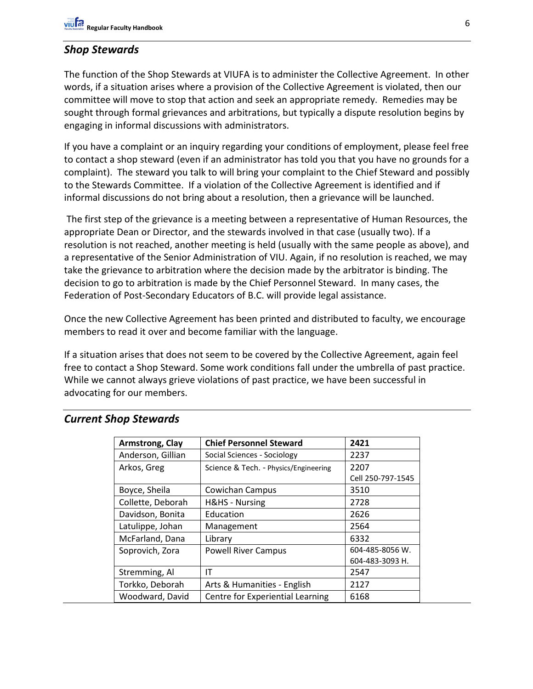## *Shop Stewards*

The function of the Shop Stewards at VIUFA is to administer the Collective Agreement. In other words, if a situation arises where a provision of the Collective Agreement is violated, then our committee will move to stop that action and seek an appropriate remedy. Remedies may be sought through formal grievances and arbitrations, but typically a dispute resolution begins by engaging in informal discussions with administrators.

If you have a complaint or an inquiry regarding your conditions of employment, please feel free to contact a shop steward (even if an administrator has told you that you have no grounds for a complaint). The steward you talk to will bring your complaint to the Chief Steward and possibly to the Stewards Committee. If a violation of the Collective Agreement is identified and if informal discussions do not bring about a resolution, then a grievance will be launched.

The first step of the grievance is a meeting between a representative of Human Resources, the appropriate Dean or Director, and the stewards involved in that case (usually two). If a resolution is not reached, another meeting is held (usually with the same people as above), and a representative of the Senior Administration of VIU. Again, if no resolution is reached, we may take the grievance to arbitration where the decision made by the arbitrator is binding. The decision to go to arbitration is made by the Chief Personnel Steward. In many cases, the Federation of Post-Secondary Educators of B.C. will provide legal assistance.

Once the new Collective Agreement has been printed and distributed to faculty, we encourage members to read it over and become familiar with the language.

If a situation arises that does not seem to be covered by the Collective Agreement, again feel free to contact a Shop Steward. Some work conditions fall under the umbrella of past practice. While we cannot always grieve violations of past practice, we have been successful in advocating for our members.

| Armstrong, Clay   | <b>Chief Personnel Steward</b>        | 2421              |
|-------------------|---------------------------------------|-------------------|
| Anderson, Gillian | Social Sciences - Sociology           | 2237              |
| Arkos, Greg       | Science & Tech. - Physics/Engineering | 2207              |
|                   |                                       | Cell 250-797-1545 |
| Boyce, Sheila     | Cowichan Campus                       | 3510              |
| Collette, Deborah | H&HS - Nursing                        | 2728              |
| Davidson, Bonita  | Education                             | 2626              |
| Latulippe, Johan  | Management                            | 2564              |
| McFarland, Dana   | Library                               | 6332              |
| Soprovich, Zora   | <b>Powell River Campus</b>            | 604-485-8056 W.   |
|                   |                                       | 604-483-3093 H.   |
| Stremming, Al     | ΙT                                    | 2547              |
| Torkko, Deborah   | Arts & Humanities - English           | 2127              |
| Woodward, David   | Centre for Experiential Learning      | 6168              |

#### *Current Shop Stewards*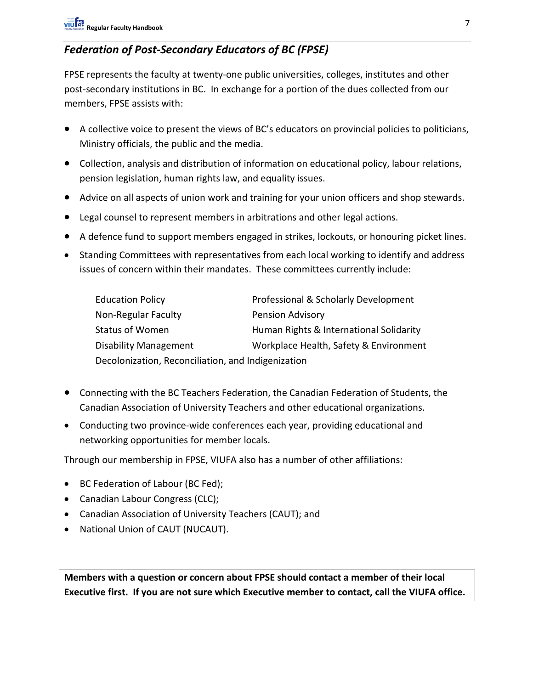# *Federation of Post-Secondary Educators of BC (FPSE)*

FPSE represents the faculty at twenty-one public universities, colleges, institutes and other post-secondary institutions in BC. In exchange for a portion of the dues collected from our members, FPSE assists with:

- A collective voice to present the views of BC's educators on provincial policies to politicians, Ministry officials, the public and the media.
- Collection, analysis and distribution of information on educational policy, labour relations, pension legislation, human rights law, and equality issues.
- Advice on all aspects of union work and training for your union officers and shop stewards.
- Legal counsel to represent members in arbitrations and other legal actions.
- A defence fund to support members engaged in strikes, lockouts, or honouring picket lines.
- Standing Committees with representatives from each local working to identify and address issues of concern within their mandates. These committees currently include:

| <b>Education Policy</b>                            | Professional & Scholarly Development    |  |
|----------------------------------------------------|-----------------------------------------|--|
| Non-Regular Faculty                                | <b>Pension Advisory</b>                 |  |
| <b>Status of Women</b>                             | Human Rights & International Solidarity |  |
| <b>Disability Management</b>                       | Workplace Health, Safety & Environment  |  |
| Decolonization, Reconciliation, and Indigenization |                                         |  |

- Connecting with the BC Teachers Federation, the Canadian Federation of Students, the Canadian Association of University Teachers and other educational organizations.
- Conducting two province-wide conferences each year, providing educational and networking opportunities for member locals.

Through our membership in FPSE, VIUFA also has a number of other affiliations:

- BC Federation of Labour (BC Fed);
- Canadian Labour Congress (CLC);
- Canadian Association of University Teachers (CAUT); and
- National Union of CAUT (NUCAUT).

**Members with a question or concern about FPSE should contact a member of their local Executive first. If you are not sure which Executive member to contact, call the VIUFA office.**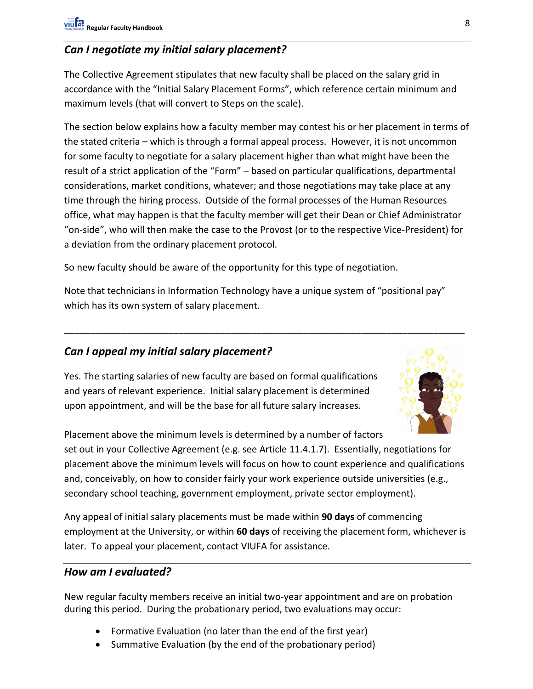## *Can I negotiate my initial salary placement?*

The Collective Agreement stipulates that new faculty shall be placed on the salary grid in accordance with the "Initial Salary Placement Forms", which reference certain minimum and maximum levels (that will convert to Steps on the scale).

The section below explains how a faculty member may contest his or her placement in terms of the stated criteria – which is through a formal appeal process. However, it is not uncommon for some faculty to negotiate for a salary placement higher than what might have been the result of a strict application of the "Form" – based on particular qualifications, departmental considerations, market conditions, whatever; and those negotiations may take place at any time through the hiring process. Outside of the formal processes of the Human Resources office, what may happen is that the faculty member will get their Dean or Chief Administrator "on-side", who will then make the case to the Provost (or to the respective Vice-President) for a deviation from the ordinary placement protocol.

So new faculty should be aware of the opportunity for this type of negotiation.

Note that technicians in Information Technology have a unique system of "positional pay" which has its own system of salary placement.

\_\_\_\_\_\_\_\_\_\_\_\_\_\_\_\_\_\_\_\_\_\_\_\_\_\_\_\_\_\_\_\_\_\_\_\_\_\_\_\_\_\_\_\_\_\_\_\_\_\_\_\_\_\_\_\_\_\_\_\_\_\_\_\_\_\_\_\_\_\_\_\_\_\_\_\_\_

## *Can I appeal my initial salary placement?*

Yes. The starting salaries of new faculty are based on formal qualifications and years of relevant experience. Initial salary placement is determined upon appointment, and will be the base for all future salary increases.



Placement above the minimum levels is determined by a number of factors set out in your Collective Agreement (e.g. see Article 11.4.1.7). Essentially, negotiations for placement above the minimum levels will focus on how to count experience and qualifications and, conceivably, on how to consider fairly your work experience outside universities (e.g., secondary school teaching, government employment, private sector employment).

Any appeal of initial salary placements must be made within **90 days** of commencing employment at the University, or within **60 days** of receiving the placement form, whichever is later. To appeal your placement, contact VIUFA for assistance.

#### *How am I evaluated?*

New regular faculty members receive an initial two-year appointment and are on probation during this period. During the probationary period, two evaluations may occur:

- Formative Evaluation (no later than the end of the first year)
- Summative Evaluation (by the end of the probationary period)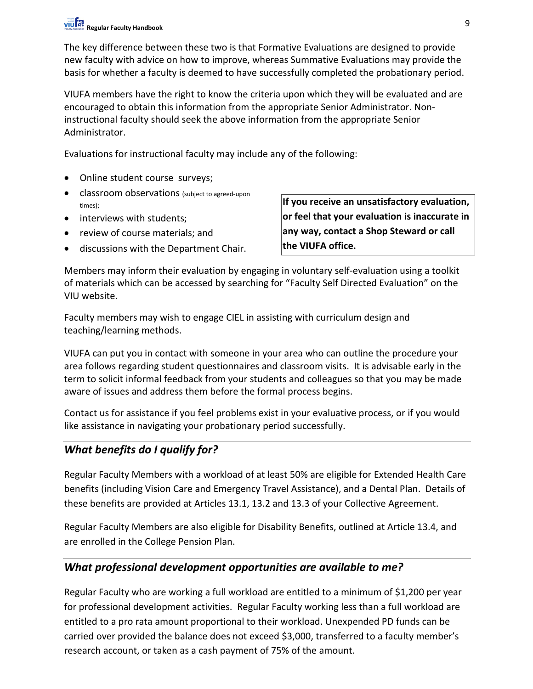The key difference between these two is that Formative Evaluations are designed to provide new faculty with advice on how to improve, whereas Summative Evaluations may provide the basis for whether a faculty is deemed to have successfully completed the probationary period.

VIUFA members have the right to know the criteria upon which they will be evaluated and are encouraged to obtain this information from the appropriate Senior Administrator. Noninstructional faculty should seek the above information from the appropriate Senior Administrator.

Evaluations for instructional faculty may include any of the following:

- Online student course surveys;
- classroom observations (subject to agreed-upon times);
- interviews with students;
- review of course materials; and
- discussions with the Department Chair.

**If you receive an unsatisfactory evaluation, or feel that your evaluation is inaccurate in any way, contact a Shop Steward or call the VIUFA office.**

Members may inform their evaluation by engaging in voluntary self-evaluation using a toolkit of materials which can be accessed by searching for "Faculty Self Directed Evaluation" on the VIU website.

Faculty members may wish to engage CIEL in assisting with curriculum design and teaching/learning methods.

VIUFA can put you in contact with someone in your area who can outline the procedure your area follows regarding student questionnaires and classroom visits. It is advisable early in the term to solicit informal feedback from your students and colleagues so that you may be made aware of issues and address them before the formal process begins.

Contact us for assistance if you feel problems exist in your evaluative process, or if you would like assistance in navigating your probationary period successfully.

## *What benefits do I qualify for?*

Regular Faculty Members with a workload of at least 50% are eligible for Extended Health Care benefits (including Vision Care and Emergency Travel Assistance), and a Dental Plan. Details of these benefits are provided at Articles 13.1, 13.2 and 13.3 of your Collective Agreement.

Regular Faculty Members are also eligible for Disability Benefits, outlined at Article 13.4, and are enrolled in the College Pension Plan.

### *What professional development opportunities are available to me?*

Regular Faculty who are working a full workload are entitled to a minimum of \$1,200 per year for professional development activities. Regular Faculty working less than a full workload are entitled to a pro rata amount proportional to their workload. Unexpended PD funds can be carried over provided the balance does not exceed \$3,000, transferred to a faculty member's research account, or taken as a cash payment of 75% of the amount.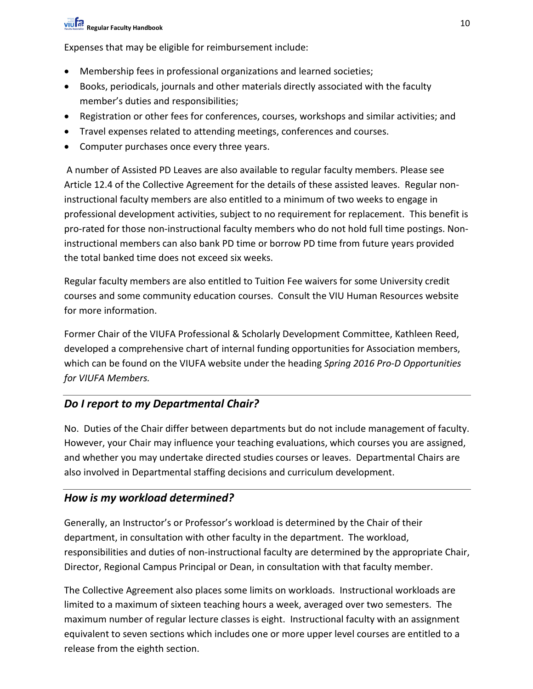# **Regular Faculty Handbook** 10

Expenses that may be eligible for reimbursement include:

- Membership fees in professional organizations and learned societies;
- Books, periodicals, journals and other materials directly associated with the faculty member's duties and responsibilities;
- Registration or other fees for conferences, courses, workshops and similar activities; and
- Travel expenses related to attending meetings, conferences and courses.
- Computer purchases once every three years.

A number of Assisted PD Leaves are also available to regular faculty members. Please see Article 12.4 of the Collective Agreement for the details of these assisted leaves. Regular noninstructional faculty members are also entitled to a minimum of two weeks to engage in professional development activities, subject to no requirement for replacement. This benefit is pro-rated for those non-instructional faculty members who do not hold full time postings. Noninstructional members can also bank PD time or borrow PD time from future years provided the total banked time does not exceed six weeks.

Regular faculty members are also entitled to Tuition Fee waivers for some University credit courses and some community education courses. Consult the VIU Human Resources website for more information.

Former Chair of the VIUFA Professional & Scholarly Development Committee, Kathleen Reed, developed a comprehensive chart of internal funding opportunities for Association members, which can be found on the VIUFA website under the heading *Spring 2016 Pro-D Opportunities for VIUFA Members.* 

## *Do I report to my Departmental Chair?*

No. Duties of the Chair differ between departments but do not include management of faculty. However, your Chair may influence your teaching evaluations, which courses you are assigned, and whether you may undertake directed studies courses or leaves. Departmental Chairs are also involved in Departmental staffing decisions and curriculum development.

### *How is my workload determined?*

Generally, an Instructor's or Professor's workload is determined by the Chair of their department, in consultation with other faculty in the department. The workload, responsibilities and duties of non-instructional faculty are determined by the appropriate Chair, Director, Regional Campus Principal or Dean, in consultation with that faculty member.

The Collective Agreement also places some limits on workloads. Instructional workloads are limited to a maximum of sixteen teaching hours a week, averaged over two semesters. The maximum number of regular lecture classes is eight. Instructional faculty with an assignment equivalent to seven sections which includes one or more upper level courses are entitled to a release from the eighth section.